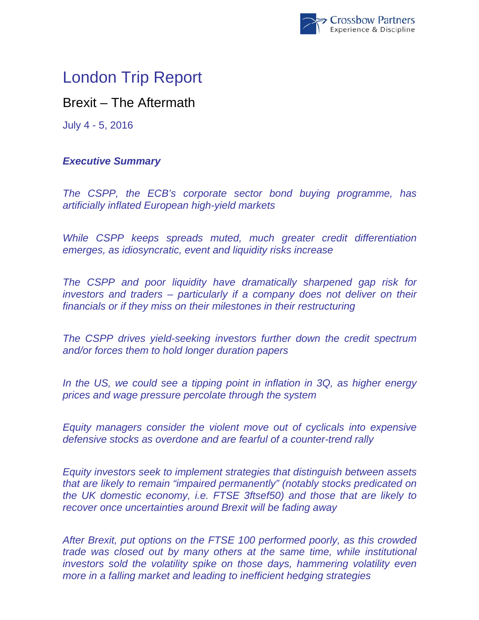

# London Trip Report

# Brexit – The Aftermath

July 4 - 5, 2016

## *Executive Summary*

*The CSPP, the ECB's corporate sector bond buying programme, has artificially inflated European high-yield markets* 

*While CSPP keeps spreads muted, much greater credit differentiation emerges, as idiosyncratic, event and liquidity risks increase* 

*The CSPP and poor liquidity have dramatically sharpened gap risk for investors and traders – particularly if a company does not deliver on their financials or if they miss on their milestones in their restructuring* 

*The CSPP drives yield-seeking investors further down the credit spectrum and/or forces them to hold longer duration papers* 

*In the US, we could see a tipping point in inflation in 3Q, as higher energy prices and wage pressure percolate through the system* 

*Equity managers consider the violent move out of cyclicals into expensive defensive stocks as overdone and are fearful of a counter-trend rally* 

*Equity investors seek to implement strategies that distinguish between assets that are likely to remain "impaired permanently" (notably stocks predicated on the UK domestic economy, i.e. FTSE 3ftsef50) and those that are likely to recover once uncertainties around Brexit will be fading away* 

*After Brexit, put options on the FTSE 100 performed poorly, as this crowded trade was closed out by many others at the same time, while institutional investors sold the volatility spike on those days, hammering volatility even more in a falling market and leading to inefficient hedging strategies*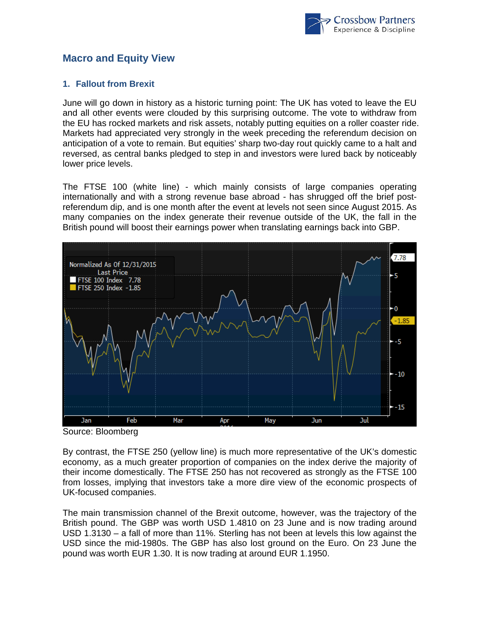

### **Macro and Equity View**

#### **1. Fallout from Brexit**

June will go down in history as a historic turning point: The UK has voted to leave the EU and all other events were clouded by this surprising outcome. The vote to withdraw from the EU has rocked markets and risk assets, notably putting equities on a roller coaster ride. Markets had appreciated very strongly in the week preceding the referendum decision on anticipation of a vote to remain. But equities' sharp two-day rout quickly came to a halt and reversed, as central banks pledged to step in and investors were lured back by noticeably lower price levels.

The FTSE 100 (white line) - which mainly consists of large companies operating internationally and with a strong revenue base abroad - has shrugged off the brief postreferendum dip, and is one month after the event at levels not seen since August 2015. As many companies on the index generate their revenue outside of the UK, the fall in the British pound will boost their earnings power when translating earnings back into GBP.



Source: Bloomberg

By contrast, the FTSE 250 (yellow line) is much more representative of the UK's domestic economy, as a much greater proportion of companies on the index derive the majority of their income domestically. The FTSE 250 has not recovered as strongly as the FTSE 100 from losses, implying that investors take a more dire view of the economic prospects of UK-focused companies.

The main transmission channel of the Brexit outcome, however, was the trajectory of the British pound. The GBP was worth USD 1.4810 on 23 June and is now trading around USD 1.3130 – a fall of more than 11%. Sterling has not been at levels this low against the USD since the mid-1980s. The GBP has also lost ground on the Euro. On 23 June the pound was worth EUR 1.30. It is now trading at around EUR 1.1950.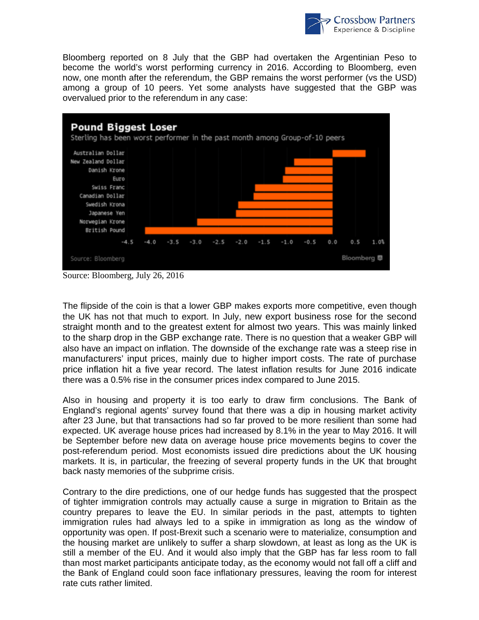

Bloomberg reported on 8 July that the GBP had overtaken the Argentinian Peso to become the world's worst performing currency in 2016. According to Bloomberg, even now, one month after the referendum, the GBP remains the worst performer (vs the USD) among a group of 10 peers. Yet some analysts have suggested that the GBP was overvalued prior to the referendum in any case:



Source: Bloomberg, July 26, 2016

The flipside of the coin is that a lower GBP makes exports more competitive, even though the UK has not that much to export. In July, new export business rose for the second straight month and to the greatest extent for almost two years. This was mainly linked to the sharp drop in the GBP exchange rate. There is no question that a weaker GBP will also have an impact on inflation. The downside of the exchange rate was a steep rise in manufacturers' input prices, mainly due to higher import costs. The rate of purchase price inflation hit a five year record. The latest inflation results for June 2016 indicate there was a 0.5% rise in the consumer prices index compared to June 2015.

Also in housing and property it is too early to draw firm conclusions. The Bank of England's regional agents' survey found that there was a dip in housing market activity after 23 June, but that transactions had so far proved to be more resilient than some had expected. UK average house prices had increased by 8.1% in the year to May 2016. It will be September before new data on average house price movements begins to cover the post-referendum period. Most economists issued dire predictions about the UK housing markets. It is, in particular, the freezing of several property funds in the UK that brought back nasty memories of the subprime crisis.

Contrary to the dire predictions, one of our hedge funds has suggested that the prospect of tighter immigration controls may actually cause a surge in migration to Britain as the country prepares to leave the EU. In similar periods in the past, attempts to tighten immigration rules had always led to a spike in immigration as long as the window of opportunity was open. If post-Brexit such a scenario were to materialize, consumption and the housing market are unlikely to suffer a sharp slowdown, at least as long as the UK is still a member of the EU. And it would also imply that the GBP has far less room to fall than most market participants anticipate today, as the economy would not fall off a cliff and the Bank of England could soon face inflationary pressures, leaving the room for interest rate cuts rather limited.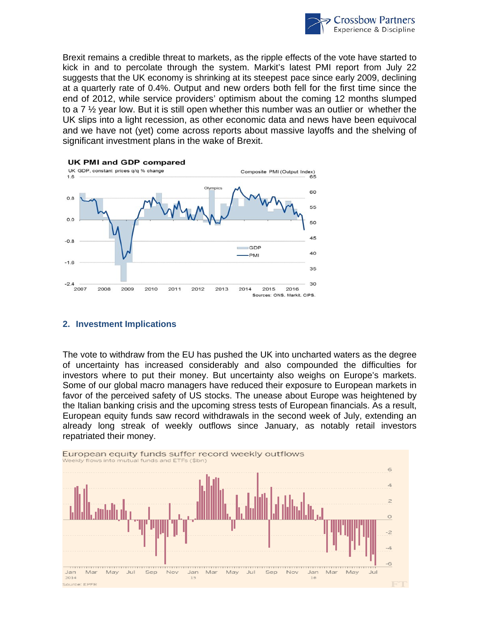

Brexit remains a credible threat to markets, as the ripple effects of the vote have started to kick in and to percolate through the system. Markit's latest PMI report from July 22 suggests that the UK economy is shrinking at its steepest pace since early 2009, declining at a quarterly rate of 0.4%. Output and new orders both fell for the first time since the end of 2012, while service providers' optimism about the coming 12 months slumped to a 7  $\frac{1}{2}$  year low. But it is still open whether this number was an outlier or whether the UK slips into a light recession, as other economic data and news have been equivocal and we have not (yet) come across reports about massive layoffs and the shelving of significant investment plans in the wake of Brexit.



#### **2. Investment Implications**

The vote to withdraw from the EU has pushed the UK into uncharted waters as the degree of uncertainty has increased considerably and also compounded the difficulties for investors where to put their money. But uncertainty also weighs on Europe's markets. Some of our global macro managers have reduced their exposure to European markets in favor of the perceived safety of US stocks. The unease about Europe was heightened by the Italian banking crisis and the upcoming stress tests of European financials. As a result, European equity funds saw record withdrawals in the second week of July, extending an already long streak of weekly outflows since January, as notably retail investors repatriated their money.

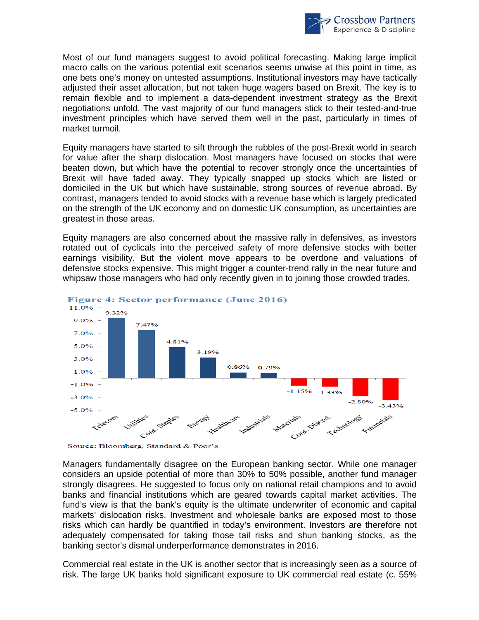

Most of our fund managers suggest to avoid political forecasting. Making large implicit macro calls on the various potential exit scenarios seems unwise at this point in time, as one bets one's money on untested assumptions. Institutional investors may have tactically adjusted their asset allocation, but not taken huge wagers based on Brexit. The key is to remain flexible and to implement a data-dependent investment strategy as the Brexit negotiations unfold. The vast majority of our fund managers stick to their tested-and-true investment principles which have served them well in the past, particularly in times of market turmoil.

Equity managers have started to sift through the rubbles of the post-Brexit world in search for value after the sharp dislocation. Most managers have focused on stocks that were beaten down, but which have the potential to recover strongly once the uncertainties of Brexit will have faded away. They typically snapped up stocks which are listed or domiciled in the UK but which have sustainable, strong sources of revenue abroad. By contrast, managers tended to avoid stocks with a revenue base which is largely predicated on the strength of the UK economy and on domestic UK consumption, as uncertainties are greatest in those areas.

Equity managers are also concerned about the massive rally in defensives, as investors rotated out of cyclicals into the perceived safety of more defensive stocks with better earnings visibility. But the violent move appears to be overdone and valuations of defensive stocks expensive. This might trigger a counter-trend rally in the near future and whipsaw those managers who had only recently given in to joining those crowded trades.



Figure 4: Sector performance (June 2016)

Source: Bloomberg, Standard & Poor's

Managers fundamentally disagree on the European banking sector. While one manager considers an upside potential of more than 30% to 50% possible, another fund manager strongly disagrees. He suggested to focus only on national retail champions and to avoid banks and financial institutions which are geared towards capital market activities. The fund's view is that the bank's equity is the ultimate underwriter of economic and capital markets' dislocation risks. Investment and wholesale banks are exposed most to those risks which can hardly be quantified in today's environment. Investors are therefore not adequately compensated for taking those tail risks and shun banking stocks, as the banking sector's dismal underperformance demonstrates in 2016.

Commercial real estate in the UK is another sector that is increasingly seen as a source of risk. The large UK banks hold significant exposure to UK commercial real estate (c. 55%